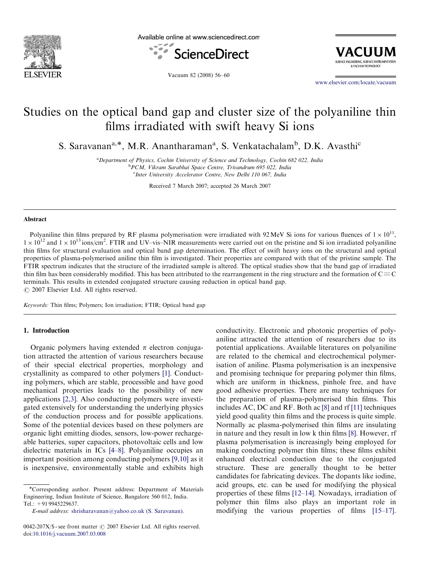

Available online at www.sciencedirect.com



VACIIIIM SURFACE ENGINEERING, SURFACE INSTRUMENTATION **EVACULIA TECHNOLOCY** 

Vacuum 82 (2008) 56–60

<www.elsevier.com/locate/vacuum>

# Studies on the optical band gap and cluster size of the polyaniline thin films irradiated with swift heavy Si ions

S. Saravanan<sup>a,\*</sup>, M.R. Anantharaman<sup>a</sup>, S. Venkatachalam<sup>b</sup>, D.K. Avasthi<sup>c</sup>

<sup>a</sup> Department of Physics, Cochin University of Science and Technology, Cochin 682 022, India b PCM, Vikram Sarabhai Space Centre, Trivandrum 695 022, India

c Inter University Accelerator Centre, New Delhi 110 067, India

Received 7 March 2007; accepted 26 March 2007

#### Abstract

Polyaniline thin films prepared by RF plasma polymerisation were irradiated with 92 MeV Si ions for various fluences of  $1 \times 10^{11}$ ,  $1 \times 10^{12}$  and  $1 \times 10^{13}$  ions/cm<sup>2</sup>. FTIR and UV–vis–NIR measurements were carried out on the pristine and Si ion irradiated polyaniline thin films for structural evaluation and optical band gap determination. The effect of swift heavy ions on the structural and optical properties of plasma-polymerised aniline thin film is investigated. Their properties are compared with that of the pristine sample. The FTIR spectrum indicates that the structure of the irradiated sample is altered. The optical studies show that the band gap of irradiated thin film has been considerably modified. This has been attributed to the rearrangement in the ring structure and the formation of  $C\equiv C$ terminals. This results in extended conjugated structure causing reduction in optical band gap.  $\odot$  2007 Elsevier Ltd. All rights reserved.

Keywords: Thin films; Polymers; Ion irradiation; FTIR; Optical band gap

## 1. Introduction

Organic polymers having extended  $\pi$  electron conjugation attracted the attention of various researchers because of their special electrical properties, morphology and crystallinity as compared to other polymers [\[1\]](#page-4-0). Conducting polymers, which are stable, processible and have good mechanical properties leads to the possibility of new applications [\[2,3\]](#page-4-0). Also conducting polymers were investigated extensively for understanding the underlying physics of the conduction process and for possible applications. Some of the potential devices based on these polymers are organic light emitting diodes, sensors, low-power rechargeable batteries, super capacitors, photovoltaic cells and low dielectric materials in ICs [\[4–8\]](#page-4-0). Polyaniline occupies an important position among conducting polymers [\[9,10\]](#page-4-0) as it is inexpensive, environmentally stable and exhibits high

conductivity. Electronic and photonic properties of polyaniline attracted the attention of researchers due to its potential applications. Available literatures on polyaniline are related to the chemical and electrochemical polymerisation of aniline. Plasma polymerisation is an inexpensive and promising technique for preparing polymer thin films, which are uniform in thickness, pinhole free, and have good adhesive properties. There are many techniques for the preparation of plasma-polymerised thin films. This includes AC, DC and RF. Both ac [\[8\]](#page-4-0) and rf [\[11\]](#page-4-0) techniques yield good quality thin films and the process is quite simple. Normally ac plasma-polymerised thin films are insulating in nature and they result in low k thin films [\[8\].](#page-4-0) However, rf plasma polymerisation is increasingly being employed for making conducting polymer thin films; these films exhibit enhanced electrical conduction due to the conjugated structure. These are generally thought to be better candidates for fabricating devices. The dopants like iodine, acid groups, etc. can be used for modifying the physical properties of these films [\[12–14\]](#page-4-0). Nowadays, irradiation of polymer thin films also plays an important role in modifying the various properties of films [\[15–17\]](#page-4-0).

<sup>\*</sup>Corresponding author. Present address: Department of Materials Engineering, Indian Institute of Science, Bangalore 560 012, India. Tel.: +91 9945229637.

E-mail address: [shrisharavanan@yahoo.co.uk \(S. Saravanan\).](mailto:shrisharavanan@yahoo.co.uk)

 $0042-207X/\$  - see front matter  $\odot$  2007 Elsevier Ltd. All rights reserved. doi:[10.1016/j.vacuum.2007.03.008](dx.doi.org/10.1016/j.vacuum.2007.03.008)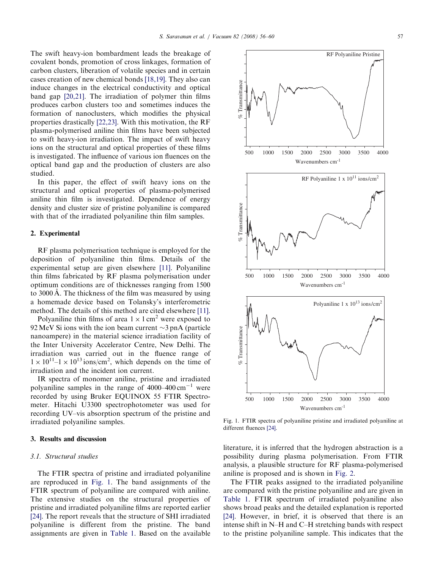The swift heavy-ion bombardment leads the breakage of covalent bonds, promotion of cross linkages, formation of carbon clusters, liberation of volatile species and in certain cases creation of new chemical bonds [\[18,19\]](#page-4-0). They also can induce changes in the electrical conductivity and optical band gap [\[20,21\].](#page-4-0) The irradiation of polymer thin films produces carbon clusters too and sometimes induces the formation of nanoclusters, which modifies the physical properties drastically [\[22,23\].](#page-4-0) With this motivation, the RF plasma-polymerised aniline thin films have been subjected to swift heavy-ion irradiation. The impact of swift heavy ions on the structural and optical properties of these films is investigated. The influence of various ion fluences on the optical band gap and the production of clusters are also studied.

In this paper, the effect of swift heavy ions on the structural and optical properties of plasma-polymerised aniline thin film is investigated. Dependence of energy density and cluster size of pristine polyaniline is compared with that of the irradiated polyaniline thin film samples.

## 2. Experimental

RF plasma polymerisation technique is employed for the deposition of polyaniline thin films. Details of the experimental setup are given elsewhere [\[11\].](#page-4-0) Polyaniline thin films fabricated by RF plasma polymerisation under optimum conditions are of thicknesses ranging from 1500 to 3000 Å. The thickness of the film was measured by using a homemade device based on Tolansky's interferometric method. The details of this method are cited elsewhere [\[11\].](#page-4-0)

Polyaniline thin films of area  $1 \times 1$  cm<sup>2</sup> were exposed to 92 MeV Si ions with the ion beam current  $\sim$ 3 pnA (particle nanoampere) in the material science irradiation facility of the Inter University Accelerator Centre, New Delhi. The irradiation was carried out in the fluence range of  $1 \times 10^{11}$ – $1 \times 10^{13}$  ions/cm<sup>2</sup>, which depends on the time of irradiation and the incident ion current.

IR spectra of monomer aniline, pristine and irradiated polyaniline samples in the range of  $4000-400$  cm<sup>-1</sup> were recorded by using Bruker EQUINOX 55 FTIR Spectrometer. Hitachi U3300 spectrophotometer was used for recording UV–vis absorption spectrum of the pristine and irradiated polyaniline samples.

#### 3. Results and discussion

#### 3.1. Structural studies

The FTIR spectra of pristine and irradiated polyaniline are reproduced in Fig. 1. The band assignments of the FTIR spectrum of polyaniline are compared with aniline. The extensive studies on the structural properties of pristine and irradiated polyaniline films are reported earlier [\[24\].](#page-4-0) The report reveals that the structure of SHI irradiated polyaniline is different from the pristine. The band assignments are given in [Table 1](#page-2-0). Based on the available



Fig. 1. FTIR spectra of polyaniline pristine and irradiated polyaniline at different fluences [\[24\].](#page-4-0)

literature, it is inferred that the hydrogen abstraction is a possibility during plasma polymerisation. From FTIR analysis, a plausible structure for RF plasma-polymerised aniline is proposed and is shown in [Fig. 2](#page-2-0).

The FTIR peaks assigned to the irradiated polyaniline are compared with the pristine polyaniline and are given in [Table 1.](#page-2-0) FTIR spectrum of irradiated polyaniline also shows broad peaks and the detailed explanation is reported [\[24\].](#page-4-0) However, in brief, it is observed that there is an intense shift in N–H and C–H stretching bands with respect to the pristine polyaniline sample. This indicates that the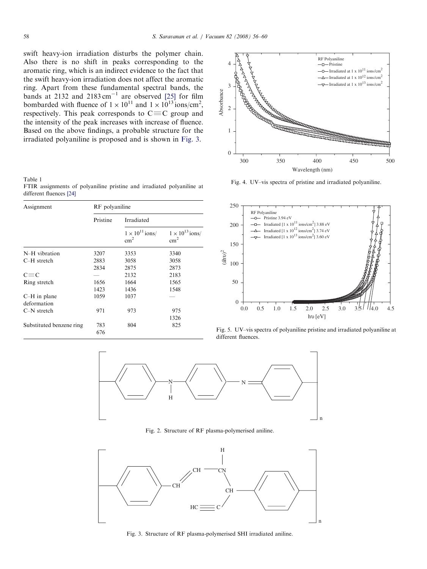<span id="page-2-0"></span>swift heavy-ion irradiation disturbs the polymer chain. Also there is no shift in peaks corresponding to the aromatic ring, which is an indirect evidence to the fact that the swift heavy-ion irradiation does not affect the aromatic ring. Apart from these fundamental spectral bands, the bands at 2132 and  $2183 \text{ cm}^{-1}$  are observed [\[25\]](#page-4-0) for film bombarded with fluence of  $1 \times 10^{11}$  and  $1 \times 10^{13}$  ions/cm<sup>2</sup>, respectively. This peak corresponds to  $C \equiv C$  group and the intensity of the peak increases with increase of fluence. Based on the above findings, a probable structure for the irradiated polyaniline is proposed and is shown in Fig. 3.

Table 1

FTIR assignments of polyaniline pristine and irradiated polyaniline at different fluences [\[24\]](#page-4-0)

| Assignment               | RF polyaniline |                                           |                                           |  |
|--------------------------|----------------|-------------------------------------------|-------------------------------------------|--|
|                          | Pristine       | Irradiated                                |                                           |  |
|                          |                | $1 \times 10^{11}$ ions/<br>$\text{cm}^2$ | $1 \times 10^{13}$ ions/<br>$\text{cm}^2$ |  |
| N-H vibration            | 3207           | 3353                                      | 3340                                      |  |
| $C-H$ stretch            | 2883           | 3058                                      | 3058                                      |  |
|                          | 2834           | 2875                                      | 2873                                      |  |
| $C \equiv C$             |                | 2132                                      | 2183                                      |  |
| Ring stretch             | 1656           | 1664                                      | 1565                                      |  |
|                          | 1423           | 1436                                      | 1548                                      |  |
| $C-H$ in plane           | 1059           | 1037                                      |                                           |  |
| deformation              |                |                                           |                                           |  |
| $C-N$ stretch            | 971            | 973                                       | 975                                       |  |
|                          |                |                                           | 1326                                      |  |
| Substituted benzene ring | 783<br>676     | 804                                       | 825                                       |  |



Fig. 4. UV–vis spectra of pristine and irradiated polyaniline.



Fig. 5. UV–vis spectra of polyaniline pristine and irradiated polyaniline at different fluences.



Fig. 2. Structure of RF plasma-polymerised aniline.



Fig. 3. Structure of RF plasma-polymerised SHI irradiated aniline.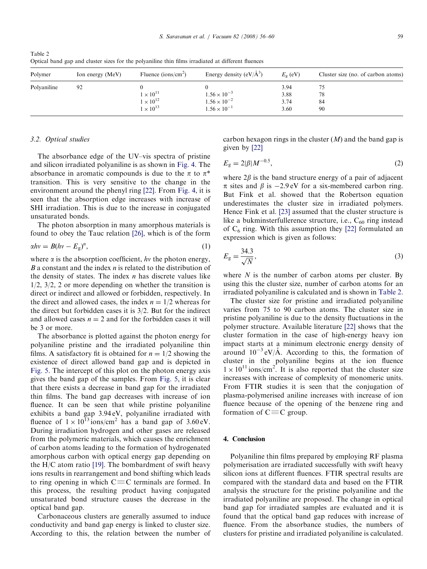| Polymer     | Ion energy (MeV) | Fluence (ions/cm <sup>2</sup> )                              | Energy density $(eV/A^3)$                                               | $E_{\rm o}$ (eV)             | Cluster size (no. of carbon atoms) |
|-------------|------------------|--------------------------------------------------------------|-------------------------------------------------------------------------|------------------------------|------------------------------------|
| Polyaniline | 92               | $1\times10^{11}$<br>$1 \times 10^{12}$<br>$1 \times 10^{13}$ | $1.56 \times 10^{-3}$<br>$1.56 \times 10^{-2}$<br>$1.56 \times 10^{-1}$ | 3.94<br>3.88<br>3.74<br>3.60 | 78<br>84<br>90                     |

Table 2 Optical band gap and cluster sizes for the polyaniline thin films irradiated at different fluences

### 3.2. Optical studies

The absorbance edge of the UV–vis spectra of pristine and silicon irradiated polyaniline is as shown in [Fig. 4.](#page-2-0) The absorbance in aromatic compounds is due to the  $\pi$  to  $\pi^*$ transition. This is very sensitive to the change in the environment around the phenyl ring [\[22\]](#page-4-0). From [Fig. 4,](#page-2-0) it is seen that the absorption edge increases with increase of SHI irradiation. This is due to the increase in conjugated unsaturated bonds.

The photon absorption in many amorphous materials is found to obey the Tauc relation [\[26\],](#page-4-0) which is of the form

$$
\alpha h v = B(hv - E_g)^n,\tag{1}
$$

where  $\alpha$  is the absorption coefficient, hv the photon energy,  $B$  a constant and the index  $n$  is related to the distribution of the density of states. The index  $n$  has discrete values like 1/2, 3/2, 2 or more depending on whether the transition is direct or indirect and allowed or forbidden, respectively. In the direct and allowed cases, the index  $n = 1/2$  whereas for the direct but forbidden cases it is 3/2. But for the indirect and allowed cases  $n = 2$  and for the forbidden cases it will be 3 or more.

The absorbance is plotted against the photon energy for polyaniline pristine and the irradiated polyaniline thin films. A satisfactory fit is obtained for  $n = 1/2$  showing the existence of direct allowed band gap and is depicted in [Fig. 5](#page-2-0). The intercept of this plot on the photon energy axis gives the band gap of the samples. From [Fig. 5](#page-2-0), it is clear that there exists a decrease in band gap for the irradiated thin films. The band gap decreases with increase of ion fluence. It can be seen that while pristine polyaniline exhibits a band gap 3.94 eV, polyaniline irradiated with fluence of  $1 \times 10^{13}$  ions/cm<sup>2</sup> has a band gap of 3.60 eV. During irradiation hydrogen and other gases are released from the polymeric materials, which causes the enrichment of carbon atoms leading to the formation of hydrogenated amorphous carbon with optical energy gap depending on the H/C atom ratio [\[19\]](#page-4-0). The bombardment of swift heavy ions results in rearrangement and bond shifting which leads to ring opening in which  $C\equiv C$  terminals are formed. In this process, the resulting product having conjugated unsaturated bond structure causes the decrease in the optical band gap.

Carbonaceous clusters are generally assumed to induce conductivity and band gap energy is linked to cluster size. According to this, the relation between the number of carbon hexagon rings in the cluster  $(M)$  and the band gap is given by [\[22\]](#page-4-0)

$$
E_{\rm g} = 2|\beta| M^{-0.5},\tag{2}
$$

where  $2\beta$  is the band structure energy of a pair of adjacent  $\pi$  sites and  $\beta$  is  $-2.9 \text{ eV}$  for a six-membered carbon ring. But Fink et al. showed that the Robertson equation underestimates the cluster size in irradiated polymers. Hence Fink et al. [\[23\]](#page-4-0) assumed that the cluster structure is like a bukminsterfullerence structure, i.e.,  $C_{60}$  ring instead of  $C_6$  ring. With this assumption they [\[22\]](#page-4-0) formulated an expression which is given as follows:

$$
E_{\rm g} = \frac{34.3}{\sqrt{N}},\tag{3}
$$

where  $N$  is the number of carbon atoms per cluster. By using this the cluster size, number of carbon atoms for an irradiated polyaniline is calculated and is shown in Table 2.

The cluster size for pristine and irradiated polyaniline varies from 75 to 90 carbon atoms. The cluster size in pristine polyaniline is due to the density fluctuations in the polymer structure. Available literature [\[22\]](#page-4-0) shows that the cluster formation in the case of high-energy heavy ion impact starts at a minimum electronic energy density of around  $10^{-3}$  eV/Å. According to this, the formation of cluster in the polyaniline begins at the ion fluence  $1 \times 10^{11}$  ions/cm<sup>2</sup>. It is also reported that the cluster size increases with increase of complexity of monomeric units. From FTIR studies it is seen that the conjugation of plasma-polymerised aniline increases with increase of ion fluence because of the opening of the benzene ring and formation of  $C \equiv C$  group.

## 4. Conclusion

Polyaniline thin films prepared by employing RF plasma polymerisation are irradiated successfully with swift heavy silicon ions at different fluences. FTIR spectral results are compared with the standard data and based on the FTIR analysis the structure for the pristine polyaniline and the irradiated polyaniline are proposed. The change in optical band gap for irradiated samples are evaluated and it is found that the optical band gap reduces with increase of fluence. From the absorbance studies, the numbers of clusters for pristine and irradiated polyaniline is calculated.